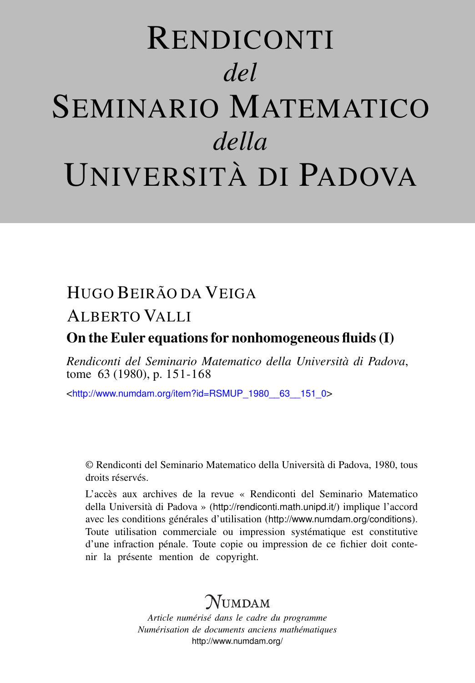# RENDICONTI *del* SEMINARIO MATEMATICO *della* UNIVERSITÀ DI PADOVA

# HUGO BEIRÃO DA VEIGA

# ALBERTO VALLI

## On the Euler equations for nonhomogeneous fluids (I)

*Rendiconti del Seminario Matematico della Università di Padova*, tome 63 (1980), p. 151-168

<[http://www.numdam.org/item?id=RSMUP\\_1980\\_\\_63\\_\\_151\\_0](http://www.numdam.org/item?id=RSMUP_1980__63__151_0)>

© Rendiconti del Seminario Matematico della Università di Padova, 1980, tous droits réservés.

L'accès aux archives de la revue « Rendiconti del Seminario Matematico della Università di Padova » (<http://rendiconti.math.unipd.it/>) implique l'accord avec les conditions générales d'utilisation (<http://www.numdam.org/conditions>). Toute utilisation commerciale ou impression systématique est constitutive d'une infraction pénale. Toute copie ou impression de ce fichier doit contenir la présente mention de copyright.

# $\mathcal{N}$ umdam

*Article numérisé dans le cadre du programme Numérisation de documents anciens mathématiques* <http://www.numdam.org/>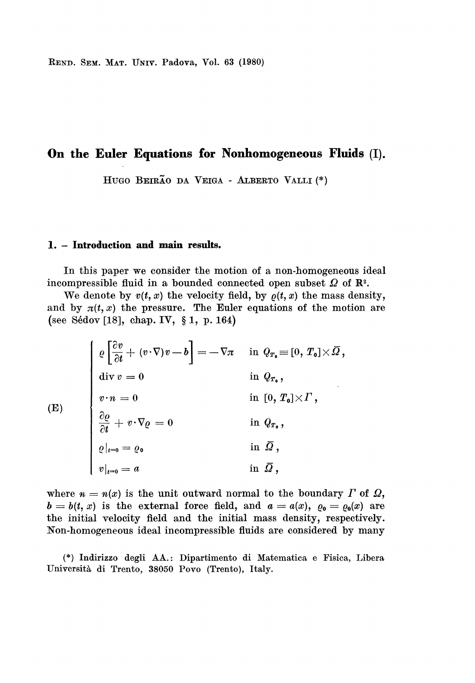REND. SEM. MAT. UNIV. Padova, Vol. 63 (1980)

## On the Euler Equations for Nonhomogeneous Fluids (I).

HUGO BEIRÃO DA VEIGA - ALBERTO VALLI (\*)

#### 1. - Introduction and main results.

In this paper we consider the motion of a non-homogeneous ideal incompressible fluid in a bounded connected open subset  $\Omega$  of  $\mathbb{R}^2$ .

We denote by  $v(t, x)$  the velocity field, by  $\rho(t, x)$  the mass density, and by  $\pi(t, x)$  the pressure. The Euler equations of the motion are (see S6dov [18], chap. IV, § 1, p. 164)

$$
\begin{cases}\n\varrho \left[\frac{\partial v}{\partial t} + (v \cdot \nabla)v - b\right] = -\nabla \pi & \text{ in } Q_{T_0} \equiv [0, T_0] \times \overline{\Omega}, \\
\text{div } v = 0 & \text{ in } Q_{T_0}, \\
v \cdot n = 0 & \text{ in } [0, T_0] \times \Gamma, \\
\frac{\partial \varrho}{\partial t} + v \cdot \nabla \varrho = 0 & \text{ in } Q_{T_0}, \\
\varrho|_{t=0} = \varrho_0 & \text{ in } \overline{\Omega}, \\
v|_{t=0} = a & \text{ in } \overline{\Omega},\n\end{cases}
$$

 $($ **I** 

where  $n = n(x)$  is the unit outward normal to the boundary  $\Gamma$  of  $\Omega$ ,  $b = b(t, x)$  is the external force field, and  $a = a(x), \varrho_0 = \varrho_0(x)$  are the initial velocity field and the initial mass density, respectively. Non-homogeneous ideal incompressible fluids are considered by many

(\*) Indirizzo degli AA. : Dipartimento di Matematica e Fisica, Libera Universita di Trento, 38050 Povo (Trento), Italy.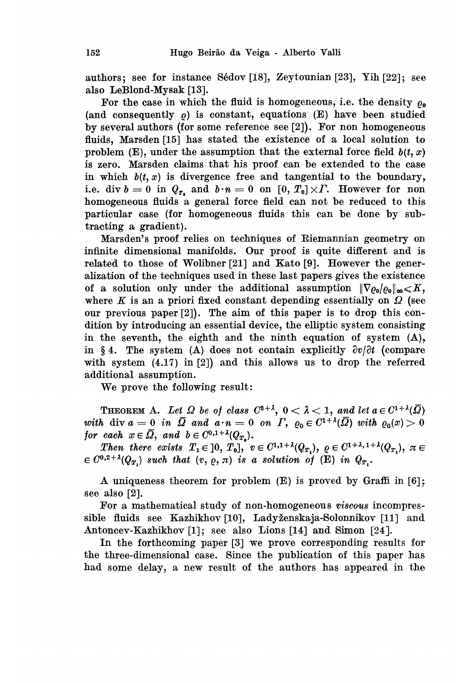authors; see for instance Sédov [18], Zeytounian [23], Yih [22]; see also LeBlond-Mysak [13].

For the case in which the fluid is homogeneous, i.e. the density  $\rho_{\rm o}$ (and consequently  $\rho$ ) is constant, equations (E) have been studied by several authors (for some reference see [2]). For non homogeneous fluids, Marsden [15] has stated the existence of a local solution to problem (E), under the assumption that the external force field  $b(t, x)$ is zero. Marsden claims that his proof can be extended to the case in which  $b(t, x)$  is divergence free and tangential to the boundary, i.e. div  $b = 0$  in  $Q_{r_a}$  and  $b \cdot n = 0$  on  $[0, T_0] \times \Gamma$ . However for non homogeneous fluids a general force field can not be reduced to this particular case (for homogeneous fluids this can be done by subtracting a gradient).

Marsden's proof relies on techniques of Riemannian geometry on infinite dimensional manifolds. Our proof is quite different and is related to those of Wolibner [21] and Kato [9]. However the generalization of the techniques used in these last papers gives the existence of a solution only under the additional assumption  $\|\nabla \rho_0\|_{\infty} \leq K$ , where K is an a priori fixed constant depending essentially on  $\Omega$  (see our previous paper [2]). The aim of this paper is to drop this condition by introducing an essential device, the elliptic system consisting in the seventh, the eighth and the ninth equation of system (A), in § 4. The system (A) does not contain explicitly  $\partial v/\partial t$  (compare with system  $(4.17)$  in [2]) and this allows us to drop the referred additional assumption.

We prove the following result:

**THEOREM A.** Let  $\Omega$  be of class  $C^{3+1}$ ,  $0 < \lambda < 1$ , and let  $a \in C^{1+\lambda}(\overline{\Omega})$ with div  $a = 0$  in  $\overline{\Omega}$  and  $a \cdot n = 0$  on  $\Gamma$ ,  $\varrho_0 \in C^{1+\lambda}(\overline{\Omega})$  with  $\varrho_0(x) > 0$ for each  $x \in \overline{\Omega}$ , and  $b \in C^{0,1+\lambda}(Q_{T_n}).$ 

Then there exists  $T_1 \in [0, T_0], \ v \in C^{1,1+\lambda}(Q_{T_1}), \ \varrho \in C^{1+\lambda, 1+\lambda}(Q_{T_1}), \ \pi \in$  $\in C^{0,2+\lambda}(Q_{T_1})$  such that  $(v, \varrho, \pi)$  is a solution of (E) in  $Q_{T_1}$ .

A uniqueness theorem for problem (E) is proved by Graffi in [6]; see also [2].

For a mathematical study of non-homogeneous viscous incompressible fluids see Kazhikhov [10], Ladyženskaja-Solonnikov [11] and Antoncev-Kazhikhov [1]; see also Lions [14] and Simon [24].

In the forthcoming paper [3] we prove corresponding results for the three-dimensional case. Since the publication of this paper has had some delay, a new result of the authors has appeared in the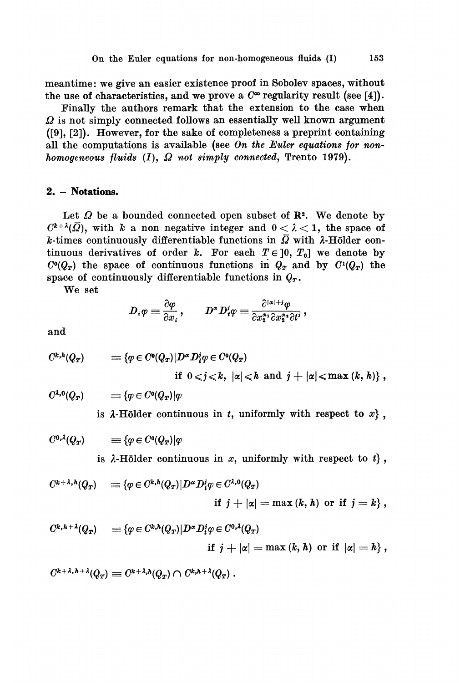meantime: we give an easier existence proof in Sobolev spaces, without the use of characteristics, and we prove a  $C^{\infty}$  regularity result (see [4]).

Finally the authors remark that the extension to the case when  $\Omega$  is not simply connected follows an essentially well known argument ([9], [2]). However, for the sake of completeness a preprint containing all the computations is available (see On the Euler equations for nonhomogeneous fluids  $(I)$ ,  $\Omega$  not simply connected, Trento 1979).

#### 2. - Notations.

Let  $\Omega$  be a bounded connected open subset of  $\mathbb{R}^2$ . We denote by  $C^{k+\lambda}(\overline{Q})$ , with k a non negative integer and  $0 < \lambda < 1$ , the space of k-times continuously differentiable functions in  $\overline{\Omega}$  with  $\lambda$ -Hölder continuous derivatives of order k. For each  $T \in [0, T_0]$  we denote by  $C<sup>0</sup>(Q<sub>T</sub>)$  the space of continuous functions in  $Q<sub>T</sub>$  and by  $C<sup>1</sup>(Q<sub>T</sub>)$  the space of continuously differentiable functions in  $Q_T$ .

We set

$$
D_i \varphi \equiv \frac{\partial \varphi}{\partial x_i}, \qquad D^{\alpha} D_i^i \varphi \equiv \frac{\partial^{|\alpha|+j} \varphi}{\partial x_2^{\alpha_1} \partial x_2^{\alpha_1} \partial t^j},
$$

and

$$
C^{k,h}(Q_T) \qquad \equiv \{ \varphi \in C^0(Q_T) | D^{\alpha} D^i_t \varphi \in C^0(Q_T) \times \mathbb{R}^d \mid \varphi \in C^0(Q_T) \text{ and } j + |\alpha| \leq \max(k,h) \},
$$

 $C^{\lambda,0}(Q_T)$  $\equiv \{ \varphi \in C^0(Q_T) | \varphi$ 

is  $\lambda$ -Hölder continuous in t, uniformly with respect to x,

$$
C^{0,\lambda}(Q_T) \qquad \equiv \{ \varphi \in C^0(Q_T) | \varphi
$$

is  $\lambda$ -Hölder continuous in x, uniformly with respect to  $t$ ,

$$
C^{k+\lambda,h}(Q_T) = \{ \varphi \in C^{k,h}(Q_T) | D^{\alpha} D_i^i \varphi \in C^{\lambda,0}(Q_T) \newline \text{if } j+|\alpha| = \max(k,h) \text{ or if } j=k \},
$$

$$
C^{k,h+\lambda}(Q_T) = \{ \varphi \in C^{k,h}(Q_T) | D^{\alpha} D_i^i \varphi \in C^{0,\lambda}(Q_T) \newline \text{if } j+|\alpha| = \max(k,h) \text{ or if } |\alpha| = h \},
$$

 $C^{k+\lambda,\,h+\lambda}(Q_T) \equiv C^{k+\lambda,h}(Q_T) \cap C^{k,h+\lambda}(Q_T) \ .$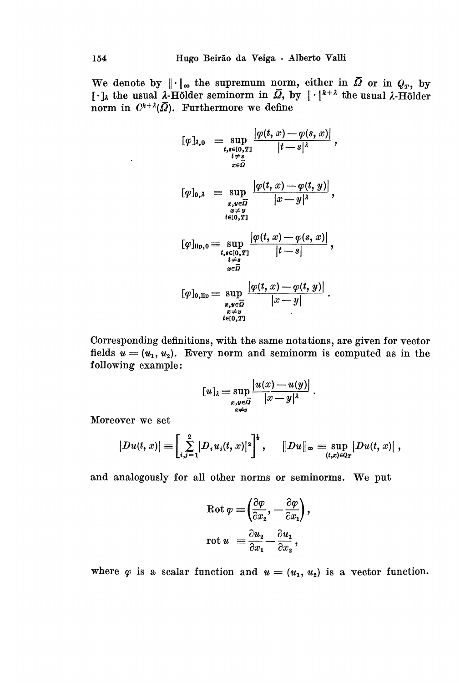We denote by  $\|\cdot\|_{\infty}$  the supremum norm, either in  $\overline{\Omega}$  or in  $Q_T$ , by  $[\cdot]_{\lambda}$  the usual  $\lambda$ -Hölder seminorm in  $\overline{\Omega}$ , by  $\|\cdot\|^{k+\lambda}$  the usual  $\lambda$ -Hölder norm in  $C^{k+\lambda}(\overline{Q})$ . Furthermore we define

$$
[\varphi]_{\lambda,0} = \sup_{\substack{t,s\in[0,T]\atop t\neq s}} \frac{|\varphi(t,x)-\varphi(s,x)|}{|t-s|^{\lambda}},
$$
  
\n
$$
[\varphi]_{0,\lambda} = \sup_{\substack{x,y\in\overline{\Omega} \\ x\neq y \\ t\in[0,T]}} \frac{|\varphi(t,x)-\varphi(t,y)|}{|x-y|^{\lambda}},
$$
  
\n
$$
[\varphi]_{\text{lip},0} = \sup_{\substack{t,s\in[0,T]\atop t\neq s}} \frac{|\varphi(t,x)-\varphi(s,x)|}{|t-s|},
$$
  
\n
$$
[\varphi]_{0,\text{lip}} = \sup_{\substack{x,y\in\overline{\Omega} \\ x\neq y \\ x\neq y}} \frac{|\varphi(t,x)-\varphi(s,x)|}{|x-y|}.
$$

Corresponding definitions, with the same notations, are given for vector fields  $u = (u_1, u_2)$ . Every norm and seminorm is computed as in the following example:

$$
[u]_{\lambda} = \sup_{\substack{x,y \in \overline{\Omega} \\ x \neq y}} \frac{|u(x) - u(y)|}{|x - y|^{\lambda}}.
$$

Moreover we set

$$
|Du(t, x)| = \left[\sum_{i, i=1}^{2} |D_i u_i(t, x)|^2\right]^{\frac{1}{2}}, \quad ||Du||_{\infty} = \sup_{(t, x) \in Q_T} |Du(t, x)|,
$$

and analogously for all other norms or seminorms. We put

$$
\operatorname{Rot} \varphi \equiv \left(\frac{\partial \varphi}{\partial x_2}, -\frac{\partial \varphi}{\partial x_1}\right),\newline \operatorname{rot} u = \frac{\partial u_2}{\partial x_1} - \frac{\partial u_1}{\partial x_2},
$$

where  $\varphi$  is a scalar function and  $u = (u_1, u_2)$  is a vector function.

 $\ddot{\phantom{0}}$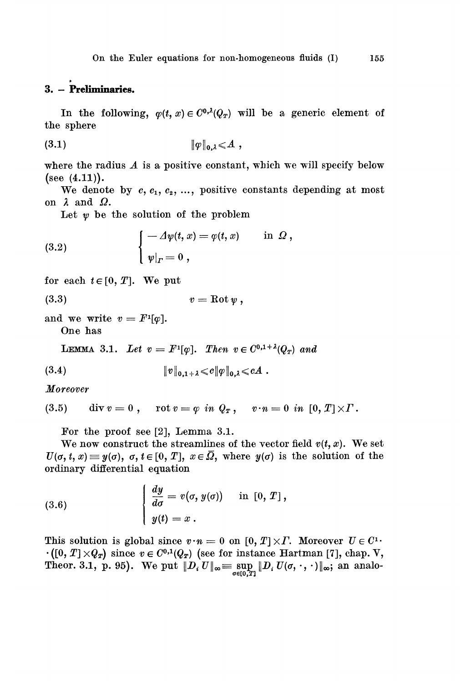### 3. - Preliminaries.

In the following,  $\varphi(t, x) \in C^{0, \lambda}(Q_T)$  will be a generic element of the sphere

$$
\mathbf{1}_{\mathcal{P}}\mathbf{1}_{\mathbf{0},\lambda} \leqslant A
$$

where the radius  $A$  is a positive constant, which we will specify below  $(see (4.11)).$ 

We denote by  $c, c_1, c_2, \ldots$ , positive constants depending at most on  $\lambda$  and  $\Omega$ .

Let  $\psi$  be the solution of the problem

(3.2) 
$$
\begin{cases} -\Delta \psi(t,x) = \varphi(t,x) & \text{in } \Omega, \\ \psi|_{\varGamma} = 0, \end{cases}
$$

for each  $t \in [0, T]$ . We put

$$
(3.3) \t\t v = \text{Rot}\, \psi \,,
$$

and we write  $v = F^1[\varphi]$ . One has

LEMMA 3.1. Let  $v = F^{1}[\varphi]$ . Then  $v \in C^{0,1+\lambda}(Q_{\tau})$  and

$$
(3.4) \t\t\t ||v||_{0,1+\lambda} \leqslant c||\varphi||_{0,\lambda} \leqslant cA.
$$

Moreover

$$
(3.5) \qquad \text{div } v = 0 \; , \quad \text{rot } v = \varphi \; \; in \; \; Q_T \; , \quad \; v \cdot n = 0 \; \; in \; \; [0,T] \times \Gamma \, .
$$

For the proof see [2], Lemma 3.1.

We now construct the streamlines of the vector field  $v(t, x)$ . We set  $U(\sigma, t, x) \equiv y(\sigma), \ \sigma, t \in [0, T], \ x \in \overline{\Omega}, \text{ where } y(\sigma) \text{ is the solution of the }$ ordinary differential equation

(3.6) 
$$
\begin{cases} \frac{dy}{d\sigma} = v(\sigma, y(\sigma)) & \text{in } [0, T], \\ y(t) = x. \end{cases}
$$

This solution is global since  $v \cdot n = 0$  on  $[0, T] \times \Gamma$ . Moreover  $U \in C^1$ .  $\cdot ([0, T] \times Q_T)$  since  $v \in C^{0,1}(Q_T)$  (see for instance Hartman [7], chap. V, Theor. 3.1, p. 95). We put  $||D_i U||_{\infty} = \sup_{\sigma \in [0,T]} ||D_i U(\sigma, \cdot, \cdot)||_{\infty}$ ; an analo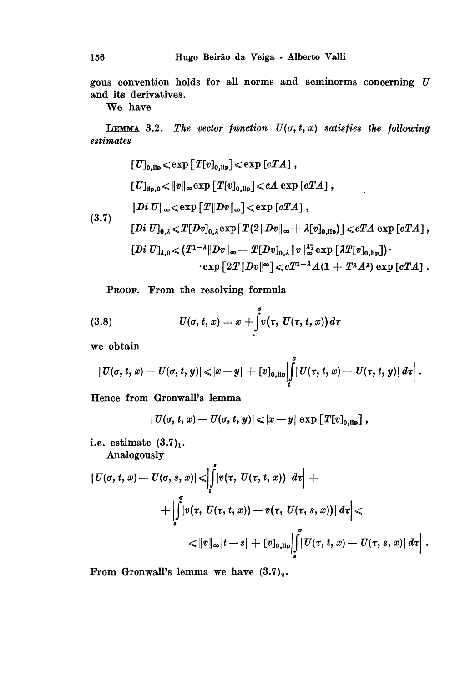gous convention holds for all norms and seminorms concerning  $U$ and its derivatives.

## We have

LEMMA 3.2. The vector function  $U(\sigma, t, x)$  satisfies the following estimates

$$
[U]_{0, {\rm lip}} \leqslant \exp \left[ T[v]_{0, {\rm lip}} \right] \leqslant \exp \left[ cTA \right],
$$
\n
$$
[U]_{\rm lip, 0} \leqslant \|v\|_{\infty} \exp \left[ T[v]_{0, {\rm lip}} \right] \leqslant cA \exp \left[ cTA \right],
$$
\n
$$
[Di U]_{\infty} \leqslant \exp \left[ T\| Dv \|_{\infty} \right] \leqslant \exp \left[ cTA \right],
$$
\n
$$
[Di U]_{0, \lambda} \leqslant T[Dv]_{0, \lambda} \exp \left[ T(2\| Dv \|_{\infty} + \lambda [v]_{0, {\rm lip}}) \right] \leqslant cTA \exp \left[ cTA \right],
$$
\n
$$
[Di U]_{\lambda, 0} \leqslant (T^{1-\lambda} \| Dv \|_{\infty} + T[Dv]_{0, \lambda} \|v\|_{\infty}^{17} \exp \left[ \lambda T[v]_{0, {\rm lip}} \right]) \cdot
$$
\n
$$
\cdot \exp \left[ 2T \| Dv \|_{\infty} \right] \leqslant cT^{1-\lambda} A (1 + T^{\lambda} A^{\lambda}) \exp \left[ cTA \right].
$$

PROOF. From the resolving formula

(3.8) 
$$
\dot{U}(\sigma, t, x) = x + \int_{t}^{\sigma} v(\tau, U(\tau, t, x)) d\tau
$$

we obtain

$$
|U(\sigma,t,x)-U(\sigma,t,y)||x-y|+[v]_{0,\text{lip}}\left|\int\limits_t^\sigma|U(\tau,t,x)-U(\tau,t,y)|\,d\tau\right|.
$$

Hence from Gronwall's lemma

$$
|U(\sigma, t, x) - U(\sigma, t, y)| < |x - y| \exp [T[v]_{0, \text{lib}}],
$$

i.e. estimate  $(3.7)<sub>1</sub>$ . Analogously

$$
\begin{aligned}\n|U(\sigma, t, x) - U(\sigma, s, x)| &< \left| \int_{t}^{s} |v(\tau, U(\tau, t, x))| \, d\tau \right| + \\
&\quad + \left| \int_{s}^{s} |v(\tau, U(\tau, t, x)) - v(\tau, U(\tau, s, x))| \, d\tau \right| < \\
&< \|v\|_{\infty} |t - s| + [v]_{0, \text{lip}} \left| \int_{s}^{\sigma} |U(\tau, t, x) - U(\tau, s, x)| \, d\tau \right|.\n\end{aligned}
$$

From Gronwall's lemma we have  $(3.7)_2$ .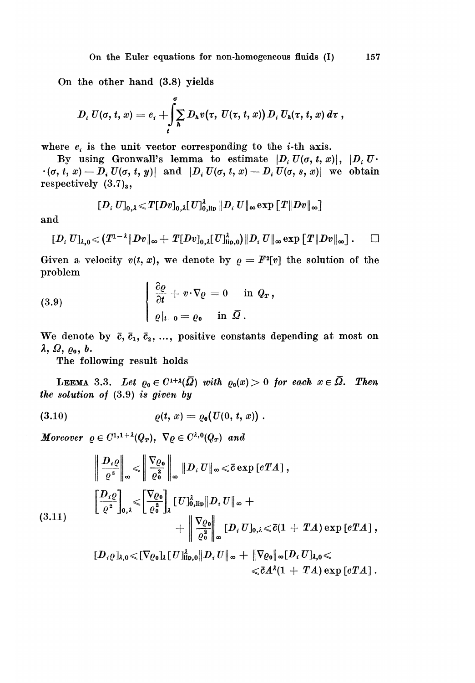On the other hand (3.8) yields

$$
D_i U(\sigma, t, x) = e_i + \int\limits_t^\sigma \sum\limits_h D_h v(\tau, U(\tau, t, x)) D_i U_h(\tau, t, x) d\tau,
$$

where  $e_i$  is the unit vector corresponding to the *i*-th axis.<br>By using Gronwall's lemma to estimate  $|D_i U(\sigma, t, x)|$ ,  $|D_i U$ .  $B(\sigma, t, x) = D_i U(\sigma, t, y)$  and  $[D_i U(\sigma, t, x) - D_i U(\sigma, s, x)]$  we obtain respectively  $(3.7)_{3}$ ,

$$
[\![D_i\;U]\!]_{0,\lambda} \!\leqslant \! T [\![Dv]\!]_{0,\lambda} [\![U]\!]_{0,\mathrm{lip}}^\lambda \, \|\!D_i\;U\|_\infty \!\exp \big[\!\! \big[\,T \|\!Dv\|\!_\infty\big]\!\!\big]
$$

and

$$
[D_i U]_{\lambda,0} \ll (T^{1-\lambda} \|Dv\|_{\infty} + T[Dv]_{0,\lambda}[U]_{\text{lip},0}^{\lambda}) \|D_i U\|_{\infty} \exp\left[T\|Dv\|_{\infty}\right]. \qquad \Box
$$

Given a velocity  $v(t, x)$ , we denote by  $\rho = F^2[v]$  the solution of the problem  $\sim$ 

(3.9) 
$$
\begin{cases} \frac{\partial \varrho}{\partial t} + v \cdot \nabla \varrho = 0 & \text{in } Q_T, \\ \varrho|_{t=0} = \varrho_0 & \text{in } \bar{\Omega}. \end{cases}
$$

We denote by  $\bar{c}$ ,  $\bar{c}_1$ ,  $\bar{c}_2$ , ..., positive constants depending at most on  $\lambda$ ,  $\Omega$ ,  $\varrho$ <sub>o</sub>,  $b$ .

The following result holds

LEEMA 3.3. Let  $\varrho_0 \in C^{1+\lambda}(\overline{\Omega})$  with  $\varrho_0(x) > 0$  for each  $x \in \overline{\Omega}$ . Then the solution of  $(3.9)$  is given by

(3.10) 
$$
\varrho(t,x) = \varrho_{\mathbf{0}}(U(0, t, x)) .
$$

Moreover  $\varrho \in C^{1,1+\lambda}(Q_T)$ ,  $\nabla \varrho \in C^{\lambda,0}(Q_T)$  and

$$
\left\|\frac{D_i \varrho}{\varrho^2}\right\|_{\infty} \leqslant \left\|\frac{\nabla \varrho_{\mathbf{0}}}{\varrho_{\mathbf{0}}^2}\right\|_{\infty} \|D_i U\|_{\infty} \leqslant \bar{c} \exp\left[cTA\right],
$$
\n
$$
\left[\frac{D_i \varrho}{\varrho^2}\right]_{0,\lambda} \leqslant \left[\frac{\nabla \varrho_{\mathbf{0}}}{\varrho_{\mathbf{0}}^2}\right]_{\lambda} \left[U\right]_{0,\text{lip}}^{\lambda} \|D_i U\|_{\infty} + \left\|\frac{\nabla \varrho_{\mathbf{0}}}{\varrho_{\mathbf{0}}^2}\right\|_{\infty} \left[D_i U\right]_{0,\lambda} \leqslant \bar{c}(1 + TA) \exp\left[cTA\right],
$$
\n
$$
\left[D_i \varrho\right]_{\lambda,0} \leqslant \left[\nabla \varrho_{\mathbf{0}}\right]_{\lambda} \left[U\right]_{\text{lip},0}^{\lambda} \|D_i U\|_{\infty} + \|\nabla \varrho_{\mathbf{0}}\|_{\infty} \left[D_i U\right]_{\lambda,0} \leqslant
$$

$$
\leqslant \bar{c} A^{\lambda} (1\,+\,TA)\exp\left[ cTA\right] .
$$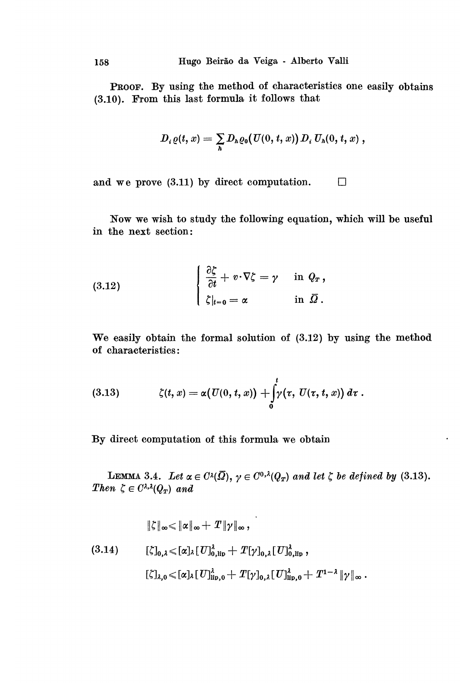PROOF. By using the method of characteristics one easily obtains (3.10). From this last formula it follows that

$$
D_i \varrho(t,x) = \sum_h D_h \varrho_0(U(0,t,x)) D_i U_h(0,t,x) ,
$$

and we prove (3.11) by direct computation.  $\Box$ 

Now we wish to study the following equation, which will be useful in the next section:

(3.12) 
$$
\begin{cases} \frac{\partial \zeta}{\partial t} + v \cdot \nabla \zeta = \gamma & \text{in } Q_T, \\ \zeta|_{t=0} = \alpha & \text{in } \overline{\Omega}. \end{cases}
$$

We easily obtain the formal solution of (3.12) by using the method of characteristics:

(3.13) 
$$
\zeta(t,x)=\alpha(U(0,t,x))+\int_0^t\!\!\gamma(\tau,\,U(\tau,\,t,x))\,d\tau.
$$

By direct computation of this formula we obtain

LEMMA 3.4. Let  $\alpha \in C^{\lambda}(\overline{\Omega}), \gamma \in C^{0,\lambda}(Q_T)$  and let  $\zeta$  be defined by (3.13). Then  $\zeta \in C^{\lambda,\lambda}(Q_T)$  and

 $\ddot{\phantom{a}}$ 

$$
\|\zeta\|_{\infty} \leq \|\alpha\|_{\infty} + T \|\gamma\|_{\infty},
$$
\n
$$
(3.14) \qquad [\zeta]_{0,\lambda} \leq [\alpha]_{\lambda} [U]_{0,\text{lip}}^{\lambda} + T[\gamma]_{0,\lambda} [U]_{0,\text{lip}}^{\lambda},
$$
\n
$$
[\zeta]_{\lambda,0} \leq [\alpha]_{\lambda} [U]_{\text{lip},0}^{\lambda} + T[\gamma]_{0,\lambda} [U]_{\text{lip},0}^{\lambda} + T^{1-\lambda} \|\gamma\|_{\infty}.
$$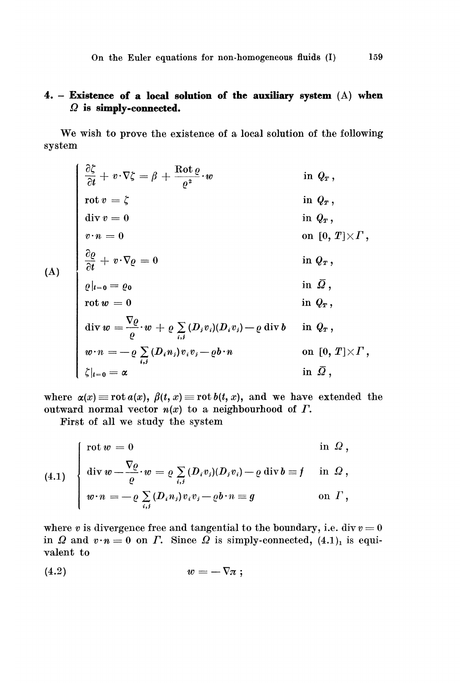## 4. - Existence of a local solution of the auxiliary system (A) when  $\Omega$  is simply-connected.

We wish to prove the existence of a local solution of the following system

$$
\begin{cases}\n\frac{\partial \zeta}{\partial t} + v \cdot \nabla \zeta = \beta + \frac{\text{Rot}\,\varrho}{\varrho^{2}} \cdot w & \text{in } Q_{T}, \\
\text{rot } v = \zeta & \text{in } Q_{T}, \\
\text{div } v = 0 & \text{in } Q_{T}, \\
v \cdot n = 0 & \text{in } Q_{T}, \\
\frac{\partial \varrho}{\partial t} + v \cdot \nabla \varrho = 0 & \text{in } Q_{T}, \\
\frac{\partial \varrho}{\partial t} + v \cdot \nabla \varrho = 0 & \text{in } Q_{T}, \\
\frac{\partial \varrho}{\partial t} = 0 & \text{in } \overline{Q}, \\
\text{rot } w = 0 & \text{in } \overline{Q}, \\
\text{div } w = \frac{\nabla \varrho}{\varrho} \cdot w + \varrho \sum_{i,j} (D_{i}v_{i})(D_{i}v_{j}) - \varrho \text{ div } b & \text{in } Q_{T}, \\
w \cdot n = -\varrho \sum_{i,j} (D_{i}n_{j})v_{i}v_{j} - \varrho b \cdot n & \text{on } [0, T] \times \Gamma, \\
\zeta|_{t=0} = \alpha & \text{in } \overline{Q},\n\end{cases}
$$

where  $\alpha(x) \equiv \text{rot } a(x)$ ,  $\beta(t, x) \equiv \text{rot } b(t, x)$ , and we have extended the outward normal vector  $n(x)$  to a neighbourhood of  $\Gamma$ .

First of all we study the system

(4.1) 
$$
\begin{cases} \text{rot } w = 0 & \text{in } \Omega, \\ \text{div } w = \frac{\nabla \varrho}{\varrho} \cdot w = \varrho \sum_{i,j} (D_i v_j)(D_j v_i) - \varrho \text{ div } b = f & \text{in } \Omega, \\ w \cdot n = -\varrho \sum_{i,j} (D_i n_j) v_i v_j - \varrho b \cdot n = g & \text{on } \Gamma, \end{cases}
$$

where v is divergence free and tangential to the boundary, i.e. div  $v = 0$ in  $\Omega$  and  $v \cdot n = 0$  on  $\Gamma$ . Since  $\Omega$  is simply-connected, (4.1)<sub>1</sub> is equivalent to

$$
(4.2) \t\t\t w = -\nabla \pi ;
$$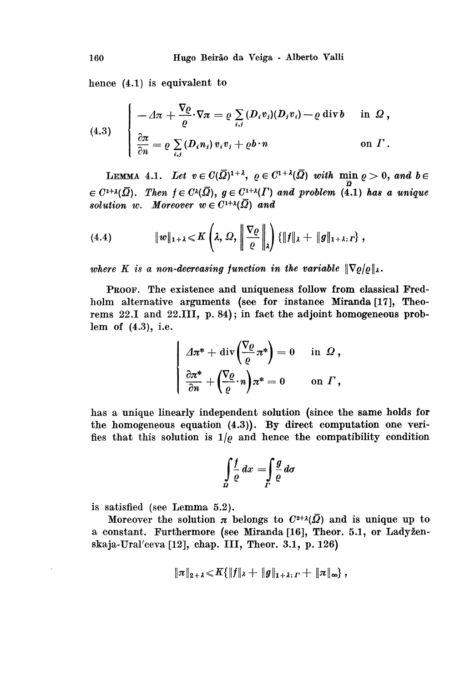hence (4.1) is equivalent to

(4.3) 
$$
\begin{cases}\n- \Delta \pi + \frac{\nabla \varrho}{\varrho} \cdot \nabla \pi = \varrho \sum_{i,j} (D_i v_j) (D_j v_i) - \varrho \operatorname{div} b & \text{in } \Omega, \\
\frac{\partial \pi}{\partial n} = \varrho \sum_{i,j} (D_i n_j) v_i v_j + \varrho b \cdot n & \text{on } \Gamma.\n\end{cases}
$$

LEMMA 4.1. Let  $v \in C(\overline{\Omega})^{1+\lambda}$ ,  $\varrho \in C^{1+\lambda}(\overline{\Omega})$  with  $\min \varrho > 0$ , and  $b \in$  $\in C^{1+\lambda}(\overline{\Omega})$ . Then  $f \in C^{\lambda}(\overline{\Omega})$ ,  $g \in C^{1+\lambda}(\Gamma)$  and problem (4.1) has a unique solution w. Moreover  $w \in C^{1+\lambda}(\overline{\Omega})$  and

(4.4) 
$$
\|w\|_{1+\lambda} \leq K\left(\lambda, \Omega, \left\|\frac{\nabla \varrho}{\varrho}\right\|_{\lambda}\right) \{\|f\|_{\lambda} + \|g\|_{1+\lambda; \Gamma}\},
$$

where K is a non-decreasing function in the variable  $\|\nabla \varrho/\varrho\|_{\lambda}$ .

PROOF. The existence and uniqueness follow from classical Fredholm alternative arguments (see for instance Miranda [17], Theorems 22.1 and 22.111, p. 84); in fact the adjoint homogeneous problem of (4.3), i.e.

$$
\begin{cases}\n\varDelta \pi^* + \operatorname{div} \left( \frac{\nabla \varrho}{\varrho} \pi^* \right) = 0 & \text{in } \Omega, \\
\frac{\partial \pi^*}{\partial n} + \left( \frac{\nabla \varrho}{\varrho} \cdot n \right) \pi^* = 0 & \text{on } \Gamma,\n\end{cases}
$$

has a unique linearly independent solution (since the same holds for the homogeneous equation (4.3)). By direct computation one verifies that this solution is  $1/\varrho$  and hence the compatibility condition

$$
\int\limits_{\Omega}\frac{f}{\varrho}\,dx=\int\limits_{\Gamma}\frac{g}{\varrho}\,d\sigma
$$

is satisfied (see Lemma  $5.2$ ).

Moreover the solution  $\pi$  belongs to  $C^{2+\lambda}(\overline{\Omega})$  and is unique up to a constant. Furthermore (see Miranda [16], Theor. 5.1, or Ladyzenskaja-Ural'ceva [12], chap. III, Theor. 3.1, p. 126)

$$
\|\pi\|_{2+\lambda} \leqslant K\{\|f\|_{\lambda} + \|g\|_{1+\lambda} ,\Gamma + \|\pi\|_{\infty}\},
$$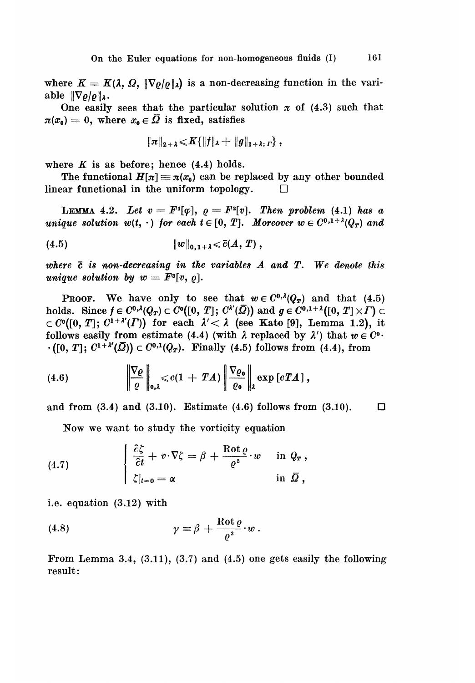where  $K = K(\lambda, \Omega, \|\nabla \rho/\rho\|_{\lambda})$  is a non-decreasing function in the variable  $\|\nabla \varrho/\varrho\|_{\lambda}$ .

One easily sees that the particular solution  $\pi$  of (4.3) such that  $\pi(x_0) = 0$ , where  $x_0 \in \overline{\Omega}$  is fixed, satisfies

$$
\|\pi\|_{2+\lambda} \!<\! K\{\|f\|_\lambda+\|g\|_{1+\lambda;\,I}\}\,,
$$

where  $K$  is as before; hence  $(4.4)$  holds.

The functional  $H[\pi] \equiv \pi(x_0)$  can be replaced by any other bounded linear functional in the uniform topology.  $\Box$ 

LEMMA 4.2. Let  $v = F<sup>1</sup>[{\varphi}], \varrho = F<sup>2</sup>[v].$  Then problem (4.1) has a unique solution  $w(t, \cdot)$  for each  $t \in [0, T]$ . Moreover  $w \in C^{0,1+\lambda}(Q_T)$  and

where  $\bar{c}$  is non-decreasing in the variables  $A$  and  $T$ . We denote this unique solution by  $w = F^3[v, o]$ .

**PROOF.** We have only to see that  $w \in C^{0, \lambda}(Q_T)$  and that (4.5) holds. Since  $f \in C^{0,\lambda}(Q_T) \subset C^0([0, T]; C^{\lambda'}(\overline{\Omega}))$  and  $g \in C^{0,1+\lambda}([0, T] \times \Gamma) \subset$  $\subset C^{0}([0, T]; C^{1+\lambda'}(T))$  for each  $\lambda' < \lambda$  (see Kato [9], Lemma 1.2), it follows easily from estimate (4.4) (with  $\lambda$  replaced by  $\lambda'$ ) that  $w \in C^0$ .  $\cdot([0, T]; C^{1+\lambda'}(\overline{Q})) \subset C^{0,1}(Q_T)$ . Finally (4.5) follows from (4.4), from

(4.6) 
$$
\left\|\frac{\nabla \varrho}{\varrho}\right\|_{\mathbf{0},\lambda} \leqslant c(1+TA)\left\|\frac{\nabla \varrho_{\mathbf{0}}}{\varrho_{\mathbf{0}}}\right\|_{\lambda} \exp\left[cTA\right],
$$

and from  $(3.4)$  and  $(3.10)$ . Estimate  $(4.6)$  follows from  $(3.10)$ .  $\Box$ 

Now we want to study the vorticity equation

(4.7) 
$$
\begin{cases} \frac{\partial \zeta}{\partial t} + v \cdot \nabla \zeta = \beta + \frac{\text{Rot}\,\varrho}{\varrho^2} \cdot w & \text{in } Q_x, \\ \zeta|_{t=0} = \alpha & \text{in } \bar{\Omega}, \end{cases}
$$

i.e. equation (3.12) with

(4.8) 
$$
\gamma = \beta + \frac{\text{Rot}\,\varrho}{\varrho^2} \cdot w \,.
$$

From Lemma 3.4,  $(3.11)$ ,  $(3.7)$  and  $(4.5)$  one gets easily the following result: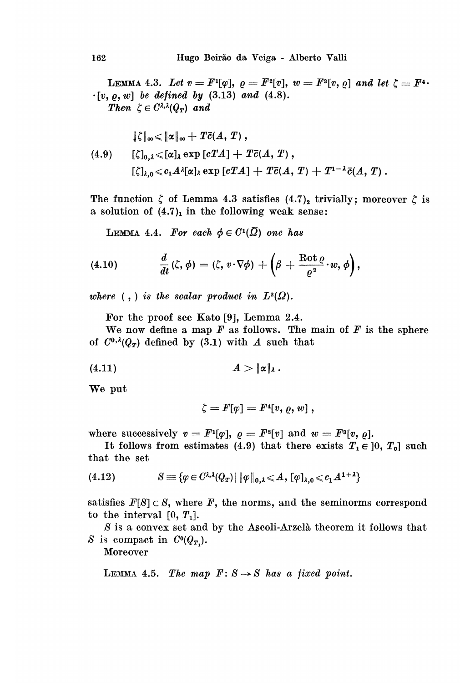LEMMA 4.3. Let  $v = F^{1}[\varphi], \varrho = F^{2}[v], w = F^{3}[v, \varrho]$  and let  $\zeta = F^{4}$ .  $\cdot [v, \, \varrho, \, w]$  be defined by (3.13) and (4.8). Then  $\zeta \in C^{\lambda,\lambda}(Q_T)$  and

$$
\|\zeta\|_{\infty} \leq \|\alpha\|_{\infty} + T\bar{c}(A, T),
$$
\n
$$
(4.9) \qquad [\zeta]_{0, \lambda} \leq [\alpha]_{\lambda} \exp [cTA] + T\bar{c}(A, T),
$$
\n
$$
[\zeta]_{\lambda} \leq c_1 A^{\lambda} [\alpha]_{\lambda} \exp [cTA] + T\bar{c}(A, T) + T^{1-\lambda} \bar{c}(A, T).
$$

The function  $\zeta$  of Lemma 4.3 satisfies  $(4.7)_2$  trivially; moreover  $\zeta$  is a solution of  $(4.7)_1$  in the following weak sense:

LEMMA 4.4. For each  $\phi \in C^1(\overline{\Omega})$  one has

(4.10) 
$$
\frac{d}{dt}(\zeta,\phi)=(\zeta,v\cdot\nabla\phi)+\left(\beta+\frac{\text{Rot}\,\varrho}{\varrho^2}\cdot w,\phi\right),
$$

where  $\langle , \rangle$  is the scalar product in  $L^2(\Omega)$ .

For the proof see Kato [9], Lemma 2.4.

We now define a map  $F$  as follows. The main of  $F$  is the sphere of  $C^{0, \lambda}(Q_T)$  defined by (3.1) with A such that

$$
(4.11) \t\t A > ||\alpha||_{\lambda}.
$$

We put

$$
\zeta = F[\varphi] = F^4[v,\varrho,w] \ ,
$$

where successively  $v = F^1[\varphi], \varrho = F^2[v]$  and  $w = F^3[v, \varrho].$ 

It follows from estimates (4.9) that there exists  $T_1 \in [0, T_0]$  such that the set

$$
(4.12) \t\t S \equiv \{ \varphi \in C^{\lambda,\lambda}(Q_T) | \|\varphi\|_{0,\lambda} \leqslant A, [\varphi]_{\lambda,0} \leqslant c_1 A^{1+\lambda} \}
$$

satisfies  $F[S] \subset S$ , where  $F$ , the norms, and the seminorms correspond to the interval  $[0, T_1]$ .

S is a convex set and by the Ascoli-Arzelà theorem it follows that S is compact in  $C^0(Q_{T_1}).$ 

Moreover

LEMMA 4.5. The map  $F: S \rightarrow S$  has a fixed point.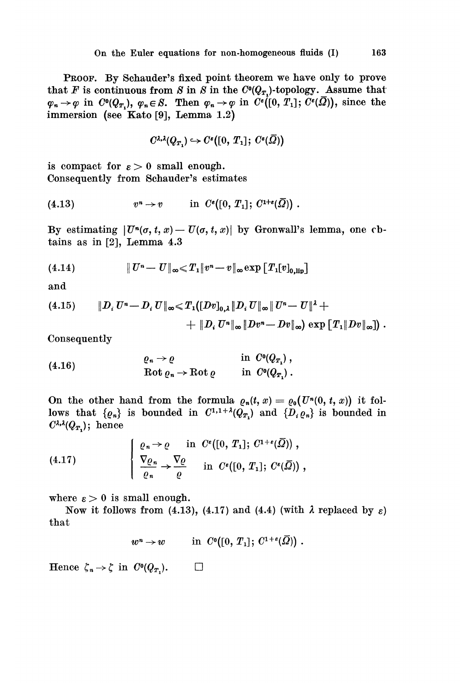PROOF. By Schauder's fixed point theorem we have only to prove that F is continuous from S in S in the  $C<sup>0</sup>(Q<sub>T</sub>)$ -topology. Assume that  $\varphi_n \to \varphi$  in  $C^0(Q_{T_n}), \varphi_n \in S$ . Then  $\varphi_n \to \varphi$  in  $C^{\varepsilon}([0, T_1]; C^{\varepsilon}(\overline{\Omega}))$ , since the immersion (see Kato [9], Lemma 1.2)

$$
C^{\lambda,\lambda}(Q_T) \hookrightarrow C^s([0, T_1]; C^s(\overline{\Omega}))
$$

is compact for  $\varepsilon > 0$  small enough. Consequently from Schauder's estimates

$$
(4.13) \t\t vn \to v \t\t in Ce([0, T1]; C1+e(\overline{Q})) .
$$

By estimating  $|U^n(\sigma, t, x) - U(\sigma, t, x)|$  by Gronwall's lemma, one cbtains as in [2], Lemma 4.3

(4.14) 
$$
||U^{n}-U||_{\infty} \leq T_{1}||v^{n}-v||_{\infty} \exp[T_{1}[v]_{0,lin}]
$$

and

(4.15) 
$$
\|D_i U^n - D_i U\|_{\infty} \leq T_1([Dv]_{0,\lambda} \|D_i U\|_{\infty} \|U^n - U\|^{\lambda} +
$$

$$
+ \|D_i U^n\|_{\infty} \|Dv^n - Dv\|_{\infty}) \exp[T_1 \|Dv\|_{\infty}]) .
$$

Consequently

(4.16) 
$$
\begin{aligned}\n\varrho_n \to \varrho &\text{in } C^0(Q_{T_1}), \\
\text{Rot } \varrho_n \to \text{Rot } \varrho &\text{in } C^0(Q_{T_1}).\n\end{aligned}
$$

On the other hand from the formula  $\rho_n(t, x) = \rho_0(U^n(0, t, x))$  it follows that  $\{ \varrho_n \}$  is bounded in  $C^{1,1+\lambda}(Q_T)$  and  $\{ D_i \varrho_n \}$  is bounded in  $C^{\lambda,\lambda}(Q_T)$ ; hence

(4.17) 
$$
\left\{\n\begin{array}{l}\n\varrho_n \to \varrho \quad \text{in } C^*([0, T_1]; C^{1+\epsilon}(\overline{\Omega}))\n, \\
\nabla \varrho_n \to \overline{\varrho} \quad \text{in } C^*([0, T_1]; C^*(\overline{\Omega}))\n\end{array}\n\right\},
$$

where  $\epsilon > 0$  is small enough.

Now it follows from (4.13), (4.17) and (4.4) (with  $\lambda$  replaced by  $\varepsilon$ ) that

$$
w^n\to w\qquad\hbox{ in }\ C^0([0,\,T_1];\ C^{1+\varepsilon}(\bar\varOmega))\,\,.
$$

Hence  $\zeta_n \to \zeta$  in  $C^0(Q_{T_n}).$  $\Box$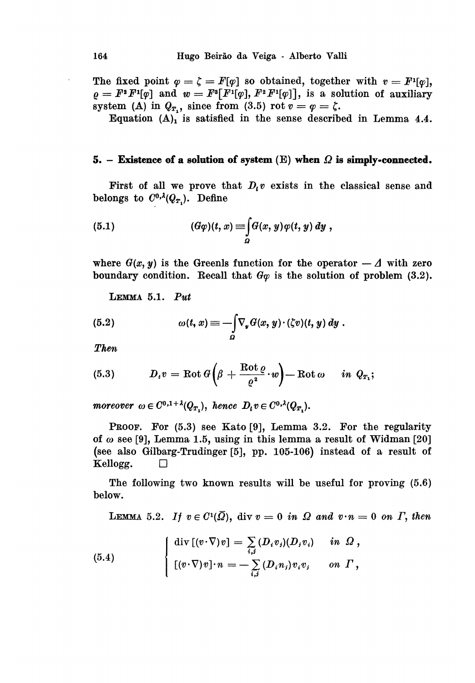The fixed point  $\varphi = \zeta = F[\varphi]$  so obtained, together with  $v = F^1[\varphi]$ ,  $\rho = F^*F^{\mathrm{I}}[\varphi]$  and  $w = F^*F^{\mathrm{I}}[\varphi], F^*F^{\mathrm{I}}[\varphi]$ , is a solution of auxiliary system (A) in  $Q_T$ , since from (3.5) rot  $v = \varphi = \zeta$ .

Equation  $(A)$ <sub>1</sub> is satisfied in the sense described in Lemma 4.4.

#### 5. - Existence of a solution of system  $(E)$  when  $\Omega$  is simply-connected.

First of all we prove that  $D_i v$  exists in the classical sense and belongs to  $C^{0,\lambda}(Q_{T_1})$ . Define

(5.1) 
$$
(G\varphi)(t,x) \equiv \int_{\Omega} G(x,y) \varphi(t,y) dy,
$$

where  $G(x, y)$  is the Greenls function for the operator  $-\Delta$  with zero boundary condition. Recall that  $G\varphi$  is the solution of problem (3.2).

LEMMA 5.1. Put

(5.2) 
$$
\omega(t,x) \equiv -\int_{\Omega} \nabla_y G(x,y) \cdot (\zeta v)(t,y) dy.
$$

Then

(5.3) 
$$
D_t v = \text{Rot } G\left(\beta + \frac{\text{Rot } \theta}{\varrho^2} \cdot w\right) - \text{Rot } \omega \quad in \ Q_{T_1};
$$

moreover  $\omega \in C^{0,1+\lambda}(Q_{T_1}),$  hence  $D_t v \in C^{0,\lambda}(Q_{T_1}).$ 

PROOF. For  $(5.3)$  see Kato [9], Lemma 3.2. For the regularity of  $\omega$  see [9], Lemma 1.5, using in this lemma a result of Widman [20] (see also Gilbarg-Trudinger [5], pp. 105-106) instead of a result of Kellogg.  $\Box$ 

The following two known results will be useful for proving (5.6) below.

LEMMA 5.2. If  $v \in C^1(\overline{\Omega})$ , div  $v = 0$  in  $\Omega$  and  $v \cdot n = 0$  on  $\Gamma$ , then

(5.4) 
$$
\begin{cases} \operatorname{div} [(v \cdot \nabla) v] = \sum_{i,j} (D_i v_j) (D_j v_i) & \text{in } \Omega, \\ [ (v \cdot \nabla) v] \cdot n = - \sum_{i,j} (D_i n_j) v_i v_j & \text{on } \Gamma, \end{cases}
$$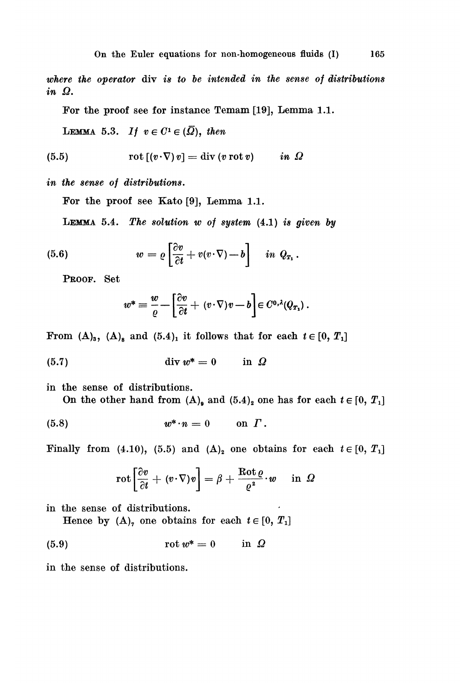where the operator div is to be intended in the sense of distributions in Q.

For the proof see for instance Temam [19], Lemma 1.1.

LEMMA 5.3. If  $v \in C^1 \in (\overline{\Omega})$ , then

(5.5) 
$$
\operatorname{rot} [(v \cdot \nabla) v] = \operatorname{div} (v \operatorname{rot} v) \qquad in \; \Omega
$$

in the sense of distributions.

For the proof see Kato [9], Lemma 1.1.

LEMMA 5.4. The solution  $w$  of system  $(4.1)$  is given by

(5.6) 
$$
w = \varrho \left[ \frac{\partial v}{\partial t} + v(v \cdot \nabla) - b \right] \quad in \ Q_{T_1}.
$$

PROOF. Set

$$
w^* = \frac{w}{\varrho} - \left[\frac{\partial v}{\partial t} + (v \cdot \nabla)v - b\right] \in C^{0,\lambda}(Q_{T_1}).
$$

From  $(A)_3$ ,  $(A)_8$  and  $(5.4)_1$  it follows that for each  $t \in [0, T_1]$ 

in the sense of distributions. On the other hand from  $(A)_{\mathfrak{g}}$  and  $(5.4)_{\mathfrak{g}}$  one has for each  $t \in [0, T_1]$ 

$$
(5.8) \t\t w^* \cdot n = 0 \t on \t\Gamma.
$$

Finally from (4.10), (5.5) and ( $\Delta$ )<sub>2</sub> one obtains for each  $t \in [0, T_1]$ 

$$
\mathrm{rot}\left[\frac{\partial v}{\partial t} + (v \cdot \nabla)v\right] = \beta + \frac{\mathrm{Rot}\, \varrho}{\varrho^2} \cdot w \quad \text{ in } \varOmega
$$

in the sense of distributions.

Hence by  $(A)$ , one obtains for each  $t \in [0, T_1]$ 

in the sense of distributions.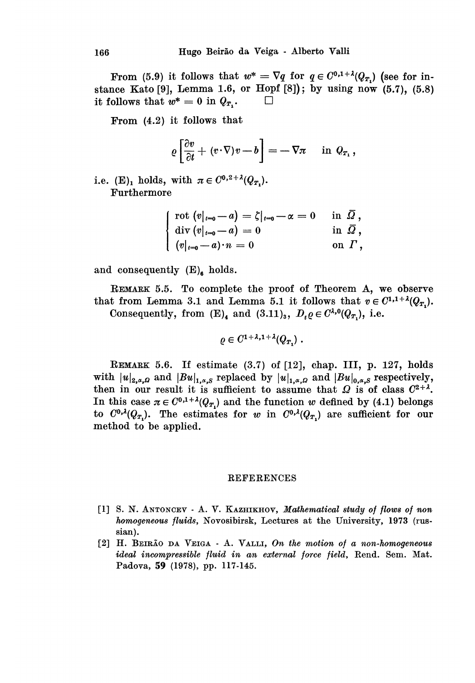From (5.9) it follows that  $w^* = \nabla q$  for  $q \in C^{0,1+\lambda}(Q_T)$  (see for instance Kato [9], Lemma 1.6, or Hopf [8]); by using now  $(5.7)$ ,  $(5.8)$ it follows that  $w^* = 0$  in  $Q_T$ .

From (4.2) it follows that

$$
\varrho\left[\frac{\partial v}{\partial t}+(v\!\cdot\!\nabla)v-b\right]=-\nabla\pi\quad\hbox{ in }Q_{T_1}\,,
$$

i.e. (E)<sub>1</sub> holds, with  $\pi \in C^{0,2+\lambda}(Q_T)$ . Furthermore

| rot $(v _{t=0} - a) = \zeta _{t=0} - \alpha = 0$            | in $\Omega$ ,  |
|-------------------------------------------------------------|----------------|
| $\mathrm{div}(v _{t=0}-a) = 0$                              | in $\bar{Q}$ , |
| $\mid \; (v _{t=0} \hspace{-0.05cm} - a)\cdot n\, = 0 \mid$ | on $\Gamma$ ,  |

and consequently  $(E)_{\epsilon}$  holds.

REMARK 5.5. To complete the proof of Theorem A, we observe that from Lemma 3.1 and Lemma 5.1 it follows that  $v \in C^{1,1+\lambda}(Q_T)$ . Consequently, from  $(E)$ <sub>4</sub> and  $(3.11)$ <sub>3</sub>,  $D_t \varrho \in C^{\lambda,0}(Q_T)$ , i.e.

$$
\varrho\in C^{1+\lambda,1+\lambda}(Q_{T,\lambda})\;.
$$

REMARK 5.6. If estimate  $(3.7)$  of  $[12]$ , chap. III, p. 127, holds with  $|u|_{2,\alpha,\Omega}$  and  $|Bu|_{1,\alpha,S}$  replaced by  $|u|_{1,\alpha,\Omega}$  and  $|Bu|_{0,\alpha,S}$  respectively, then in our result it is sufficient to assume that  $\Omega$  is of class  $C^{2+4}$ . In this case  $\pi \in C^{0,1+\lambda}(Q_T)$  and the function w defined by (4.1) belongs to  $C^{0,\lambda}(Q_{T_1})$ . The estimates for w in  $C^{0,\lambda}(Q_{T_1})$  are sufficient for our method to be applied.

#### REFERENCES

- [1] S. N. ANTONCEV A. V. KAZHIKHOV, Mathematical study of flows of non homogeneous fluids, Novosibirsk, Lectures at the University, 1973 (russian).
- [2] H. BEIRÃO DA VEIGA A. VALLI, On the motion of a non-homogeneous ideal incompressible fluid in an external force field, Rend. Sem. Mat. Padova, 59 (1978), pp. 117-145.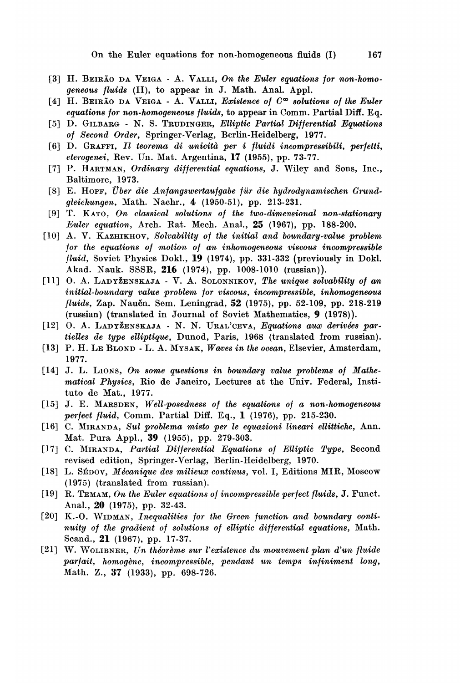- [3] H. BEIRÃO DA VEIGA A. VALLI, On the Euler equations for non-homogeneous fluids (II), to appear in J. Math. Anal. Appl.
- [4] H. BEIRÃO DA VEIGA A. VALLI, Existence of  $C^{\infty}$  solutions of the Euler equations for non-homogeneous fluids, to appear in Comm. Partial Diff. Eq.
- [5] D. GILBARG N. S. TRUDINGER, Elliptic Partial Differential Equations of Second Order, Springer-Verlag, Berlin-Heidelberg, 1977.
- [6] D. GRAFFI, Il teorema di unicità per i fluidi incompressibili, perfetti, eterogenei, Rev. Un. Mat. Argentina, 17 (1955), pp. 73-77.
- [7] P. HARTMAN, Ordinary differential equations, J. Wiley and Sons, Inc., Baltimore, 1973.
- [8] E. HOPF, Über die Anfangswertaufgabe für die hydrodynamischen Grundgleichungen, Math. Nachr., 4 (1950-51), pp. 213-231.
- [9] T. KATO, On classical solutions of the two-dimensional non-stationary Euler equation, Arch. Rat. Mech. Anal., 25 (1967), pp. 188-200.
- [10] A. V. KAZHIKHOV, Solvability of the initial and boundary-value problem for the equations of motion of an inhomogeneous viscous incompressible fluid, Soviet Physics Dokl., 19 (1974), pp. 331-332 (previously in Dokl. Akad. Nauk. SSSR, 216 (1974), pp. 1008-1010 (russian)).
- [11] O. A. LADYŽENSKAJA V. A. SOLONNIKOV, The unique solvability of an initial-boundary value problem for viscous, incompressible, inhomogeneous fluids, Zap. Naučn. Sem. Leningrad, 52 (1975), pp. 52-109, pp. 218-219 (russian) (translated in Journal of Soviet Mathematics, 9 (1978)).
- [12] O. A. LADYŽENSKAJA N. N. URAL'CEVA, Equations aux derivées partielles de type elliptique, Dunod, Paris, 1968 (translated from russian).
- [13] P. H. LE BLOND L. A. MYSAK, Waves in the ocean, Elsevier, Amsterdam, 1977.
- [14] J. L. LIONS, On some questions in boundary value problems of Mathematical Physics, Rio de Janeiro, Lectures at the Univ. Federal, Instituto de Mat., 1977.
- [15] J. E. MARSDEN, Well-posedness of the equations of a non-homogeneous perfect fluid, Comm. Partial Diff. Eq., 1 (1976), pp. 215-230.
- [16] C. MIRANDA, Sul problema misto per le equazioni lineari ellittiche, Ann. Mat. Pura Appl., 39 (1955), pp. 279-303.
- [17] C. MIRANDA, Partial Differential Equations of Elliptic Type, Second revised edition, Springer-Verlag, Berlin-Heidelberg, 1970.
- [18] L. SÉDOV, Mécanique des milieux continus, vol. I, Editions MIR, Moscow (1975) (translated from russian).
- [19] R. TEMAM, On the Euler equations of incompressible perfect fluids, J. Funct. Anal., 20 (1975), pp. 32-43.
- [20] K.-O. WIDMAN, Inequalities for the Green function and boundary continuity of the gradient of solutions of elliptic differential equations, Math. Scand., 21 (1967), pp. 17-37.
- [21] W. WOLIBNER, Un théorème sur l'existence du mouvement plan d'un fluide parfait, homogène, incompressible, pendant un temps infiniment long, Math. Z., 37 (1933), pp. 698-726.